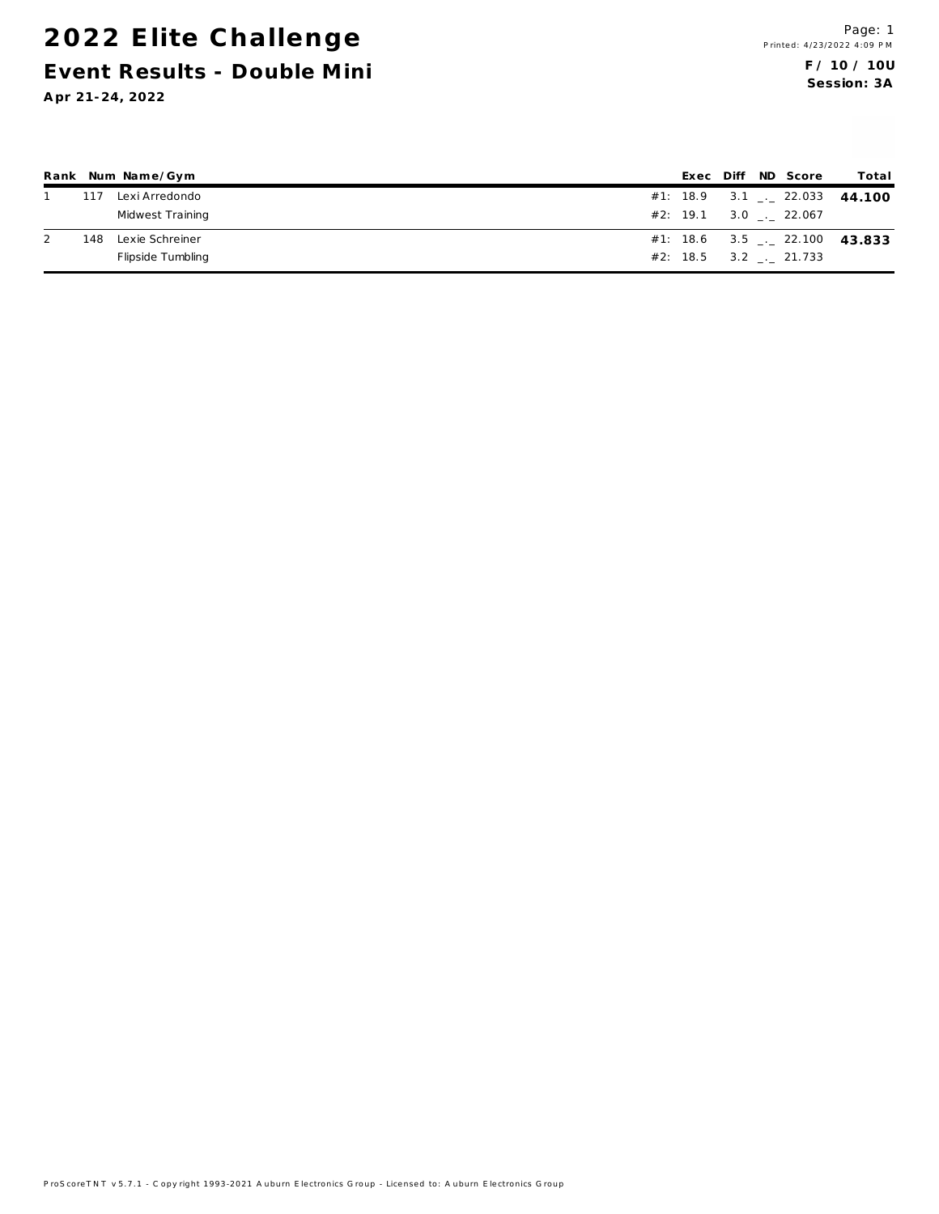#### 2022 Elite Challenge Event Results - Double Mini

|     | Rank Num Name/Gym |  |  | Exec Diff ND Score  | Total                                    |
|-----|-------------------|--|--|---------------------|------------------------------------------|
| 117 | Lexi Arredondo    |  |  |                     | $\#1$ : 18.9 3.1 . 22.033 44.100         |
|     | Midwest Training  |  |  | #2: 19.1 3.0 22.067 |                                          |
| 148 | Lexie Schreiner   |  |  |                     | #1: 18.6 3.5 $\frac{1}{2}$ 22.100 43.833 |
|     | Flipside Tumbling |  |  | #2: 18.5 3.2 21.733 |                                          |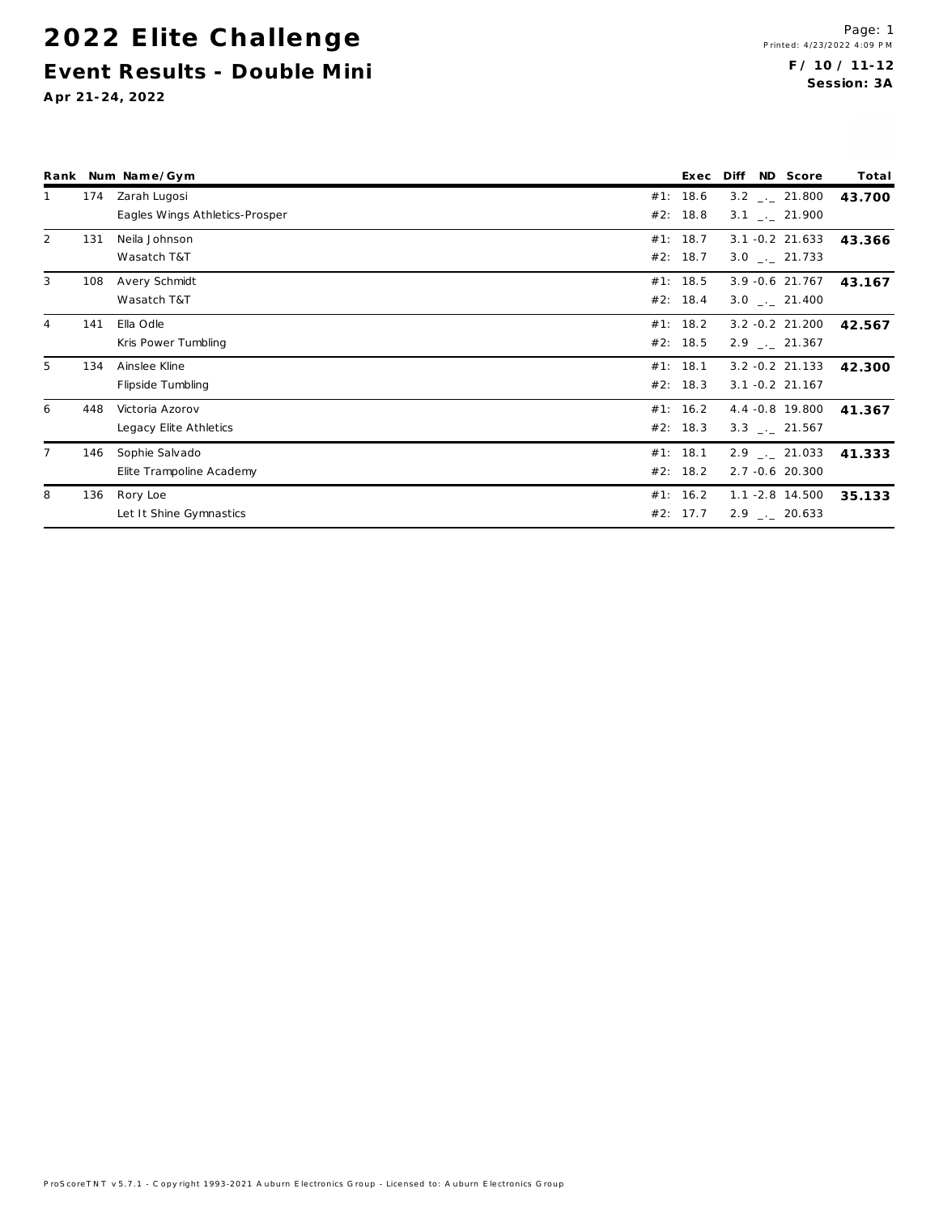# 2022 Elite Challenge Event Results - Double Mini

|                |     | Rank Num Name/Gym              | Exec     | Diff | ND Score                     | Total  |
|----------------|-----|--------------------------------|----------|------|------------------------------|--------|
| 1              | 174 | Zarah Lugosi                   | #1: 18.6 |      | $3.2$ $-.21.800$             | 43.700 |
|                |     | Eagles Wings Athletics-Prosper | #2: 18.8 |      | $3.1$ $\phantom{0}-21.900$   |        |
| $\overline{2}$ | 131 | Neila Johnson                  | #1: 18.7 |      | $3.1 - 0.2$ 21.633           | 43.366 |
|                |     | Wasatch T&T                    | #2: 18.7 |      | $3.0$ $-.$ 21.733            |        |
| 3              | 108 | Avery Schmidt                  | #1: 18.5 |      | 3.9 -0.6 21.767              | 43.167 |
|                |     | Wasatch T&T                    | #2: 18.4 |      | $3.0$ $-.21.400$             |        |
| $\overline{4}$ | 141 | Ella Odle                      | #1: 18.2 |      | $3.2 - 0.2$ 21.200           | 42.567 |
|                |     | Kris Power Tumbling            | #2: 18.5 |      | $2.9$ $-.21.367$             |        |
| 5              | 134 | Ainslee Kline                  | #1: 18.1 |      | $3.2 - 0.2$ 21.133           | 42.300 |
|                |     | Flipside Tumbling              | #2: 18.3 |      | $3.1 - 0.2$ 21.167           |        |
| 6              | 448 | Victoria Azorov                | #1: 16.2 |      | 4.4 -0.8 19.800              | 41.367 |
|                |     | Legacy Elite Athletics         | #2: 18.3 |      | $3.3$ $_{\leftarrow}$ 21.567 |        |
| $\overline{7}$ | 146 | Sophie Salvado                 | #1: 18.1 |      | $2.9$ $-.21.033$             | 41.333 |
|                |     | Elite Trampoline Academy       | #2: 18.2 |      | 2.7 -0.6 20.300              |        |
| 8              | 136 | Rory Loe                       | #1: 16.2 |      | $1.1 - 2.8$ 14.500           | 35.133 |
|                |     | Let It Shine Gymnastics        | #2: 17.7 |      | $2.9$ $-.20.633$             |        |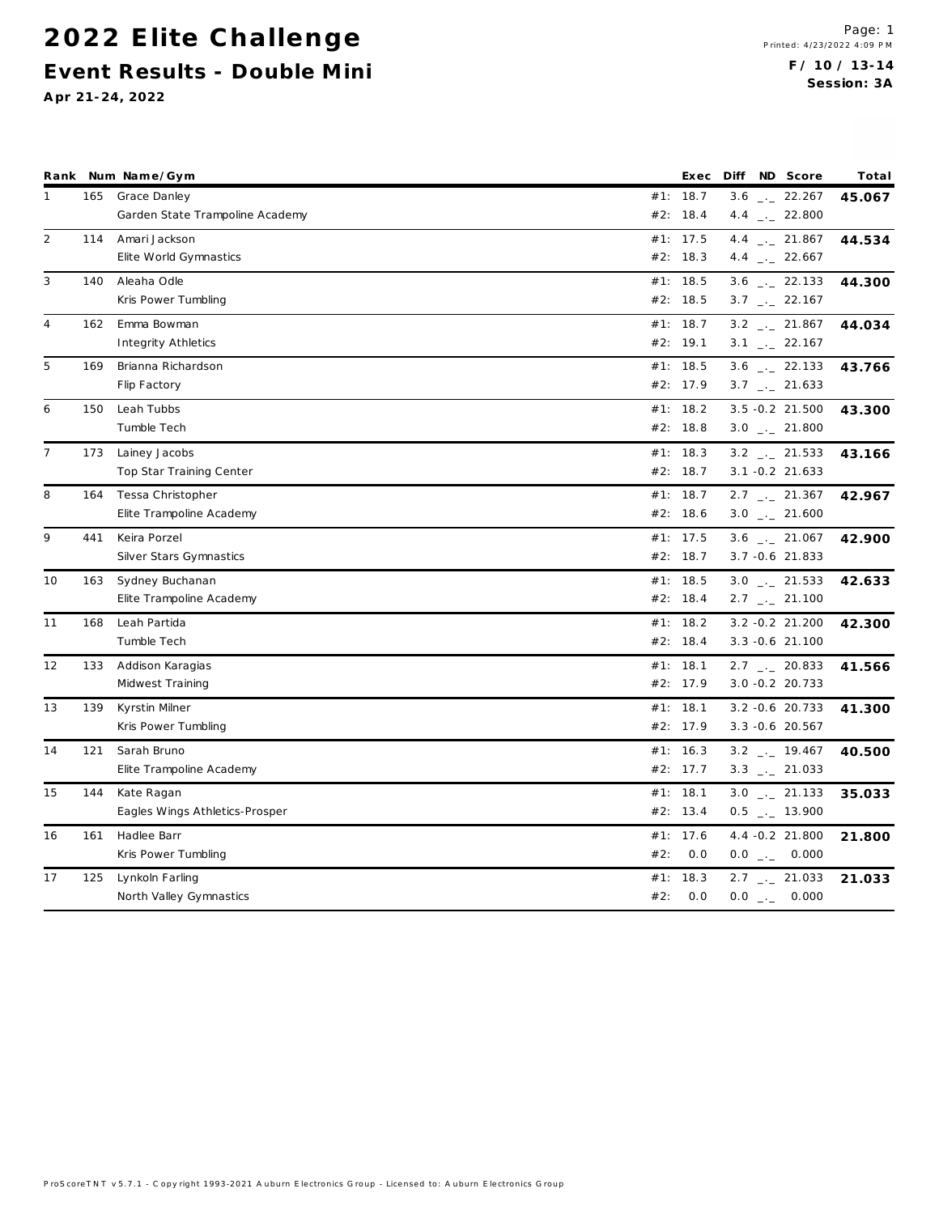|                |     | Rank Num Name/Gym                                   |            | Exec                   | Diff ND Score                                        | Total  |
|----------------|-----|-----------------------------------------------------|------------|------------------------|------------------------------------------------------|--------|
| 1              |     | 165 Grace Danley<br>Garden State Trampoline Academy |            | #1: 18.7<br>#2: 18.4   | $3.6$ $-.22.267$<br>4.4 $\qquad$ 22.800              | 45.067 |
| $\overline{2}$ | 114 | Amari Jackson<br>Elite World Gymnastics             |            | #1: 17.5<br>#2: 18.3   | 4.4 $\frac{1}{2}$ 21.867<br>4.4 $\qquad$ 22.667      | 44.534 |
| 3              | 140 | Aleaha Odle<br>Kris Power Tumbling                  |            | #1: 18.5<br>#2: 18.5   | $3.6$ $_{--}$ 22.133<br>$3.7$ $_{\leftarrow}$ 22.167 | 44.300 |
| 4              | 162 | Emma Bowman<br>Integrity Athletics                  |            | #1: 18.7<br>#2: 19.1   | $3.2$ $-21.867$<br>$3.1$ $_{-1}$ 22.167              | 44.034 |
| 5              | 169 | Brianna Richardson<br>Flip Factory                  |            | #1: 18.5<br>#2: 17.9   | $3.6$ $_{\leftarrow}$ 22.133<br>$3.7$ $-.21.633$     | 43.766 |
| 6              | 150 | Leah Tubbs<br>Tumble Tech                           |            | #1: 18.2<br>#2: $18.8$ | $3.5 - 0.2$ 21.500<br>$3.0$ _._ 21.800               | 43.300 |
| $\overline{7}$ | 173 | Lainey Jacobs<br>Top Star Training Center           |            | #1: 18.3<br>#2: 18.7   | $3.2$ $-21.533$<br>$3.1 - 0.2$ 21.633                | 43.166 |
| 8              | 164 | Tessa Christopher<br>Elite Trampoline Academy       |            | #1: 18.7<br>#2: 18.6   | $2.7$ $_{\leftarrow}$ 21.367<br>$3.0$ $_{-1}$ 21.600 | 42.967 |
| 9              | 441 | Keira Porzel<br>Silver Stars Gymnastics             |            | #1: 17.5<br>#2: 18.7   | $3.6$ $_{\leftarrow}$ 21.067<br>$3.7 - 0.6$ 21.833   | 42.900 |
| 10             | 163 | Sydney Buchanan<br>Elite Trampoline Academy         |            | #1: 18.5<br>#2: 18.4   | $3.0$ _._ 21.533<br>$2.7$ $_{\leftarrow}$ 21.100     | 42.633 |
| 11             | 168 | Leah Partida<br>Tumble Tech                         |            | #1: 18.2<br>#2: 18.4   | $3.2 - 0.2$ 21.200<br>$3.3 - 0.6$ 21.100             | 42.300 |
| 12             | 133 | Addison Karagias<br>Midwest Training                |            | #1: 18.1<br>#2: 17.9   | $2.7$ $_{\leftarrow}$ 20.833<br>$3.0 - 0.2$ 20.733   | 41.566 |
| 13             | 139 | Kyrstin Milner<br>Kris Power Tumbling               |            | #1: 18.1<br>#2: 17.9   | $3.2 - 0.6$ 20.733<br>$3.3 - 0.6$ 20.567             | 41.300 |
| 14             | 121 | Sarah Bruno<br>Elite Trampoline Academy             |            | #1: 16.3<br>#2: 17.7   | $3.2$ $_{--}$ 19.467<br>$3.3$ $_{-1}$ 21.033         | 40.500 |
| 15             | 144 | Kate Ragan<br>Eagles Wings Athletics-Prosper        |            | #1: 18.1<br>#2: 13.4   | $3.0$ _ $-21.133$<br>$0.5$ _._ 13.900                | 35.033 |
| 16             | 161 | Hadlee Barr<br>Kris Power Tumbling                  | #2:        | #1: 17.6<br>0.0        | 4.4 -0.2 21.800<br>$0.0$ _._ 0.000                   | 21.800 |
| 17             | 125 | Lynkoln Farling<br>North Valley Gymnastics          | #1:<br>#2: | 18.3<br>0.0            | $2.7$ $_{-1}$ 21.033<br>$0.0$ _._ 0.000              | 21.033 |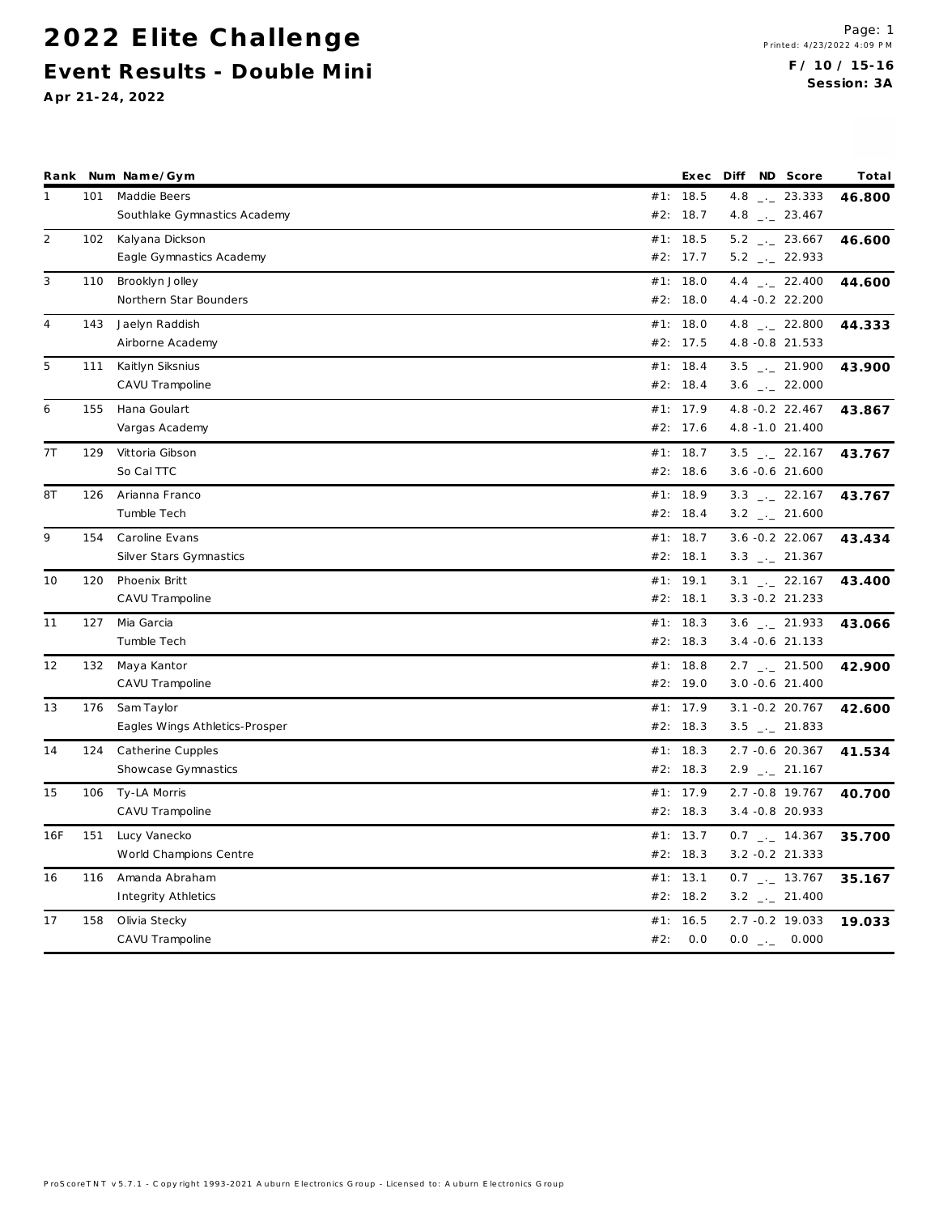|                |     | Rank Num Name/Gym              | Exec     | Diff ND Score                | Total  |
|----------------|-----|--------------------------------|----------|------------------------------|--------|
| $\mathbf{1}$   | 101 | Maddie Beers                   | #1: 18.5 | $4.8$ $_{-}$ 23.333          | 46.800 |
|                |     | Southlake Gymnastics Academy   | #2: 18.7 | 4.8 $\qquad$ 23.467          |        |
| $\overline{2}$ | 102 | Kalyana Dickson                | #1: 18.5 | $5.2$ $_{-}$ 23.667          | 46.600 |
|                |     | Eagle Gymnastics Academy       | #2: 17.7 | $5.2$ $_{-}$ 22.933          |        |
| 3              | 110 | Brooklyn Jolley                | #1: 18.0 | $4.4$ $_{-1}$ 22.400         | 44.600 |
|                |     | Northern Star Bounders         | #2: 18.0 | 4.4 - 0.2 22.200             |        |
| 4              | 143 | Jaelyn Raddish                 | #1: 18.0 | 4.8 $_{-}$ 22.800            | 44.333 |
|                |     | Airborne Academy               | #2: 17.5 | 4.8 - 0.8 21.533             |        |
| 5              | 111 | Kaitlyn Siksnius               | #1: 18.4 | $3.5$ $_{-1}$ 21.900         | 43.900 |
|                |     | CAVU Trampoline                | #2: 18.4 | $3.6$ $_{-1}$ 22.000         |        |
| 6              | 155 | Hana Goulart                   | #1: 17.9 | 4.8 - 0.2 22.467             | 43.867 |
|                |     | Vargas Academy                 | #2: 17.6 | 4.8 -1.0 21.400              |        |
| 7T             | 129 | Vittoria Gibson                | #1: 18.7 | $3.5$ $_{-1}$ 22.167         | 43.767 |
|                |     | So Cal TTC                     | #2: 18.6 | $3.6 - 0.6$ 21.600           |        |
| 8T             | 126 | Arianna Franco                 | #1: 18.9 | $3.3$ $_{\leftarrow}$ 22.167 | 43.767 |
|                |     | Tumble Tech                    | #2: 18.4 | $3.2$ $_{-1}$ 21.600         |        |
| 9              | 154 | Caroline Evans                 | #1: 18.7 | $3.6 - 0.2$ 22.067           | 43.434 |
|                |     | Silver Stars Gymnastics        | #2: 18.1 | $3.3$ $_{\leftarrow}$ 21.367 |        |
| 10             | 120 | Phoenix Britt                  | #1: 19.1 | $3.1$ $_{-1}$ 22.167         | 43.400 |
|                |     | CAVU Trampoline                | #2: 18.1 | $3.3 - 0.2$ 21.233           |        |
| 11             | 127 | Mia Garcia                     | #1: 18.3 | $3.6$ _ 21.933               | 43.066 |
|                |     | Tumble Tech                    | #2: 18.3 | $3.4 - 0.6$ 21.133           |        |
| 12             | 132 | Maya Kantor                    | #1: 18.8 | $2.7$ $_{-}$ 21.500          | 42.900 |
|                |     | CAVU Trampoline                | #2: 19.0 | $3.0 - 0.6$ 21.400           |        |
| 13             | 176 | Sam Taylor                     | #1: 17.9 | $3.1 - 0.2$ 20.767           | 42.600 |
|                |     | Eagles Wings Athletics-Prosper | #2: 18.3 | $3.5$ $\_\_2$ 21.833         |        |
| 14             | 124 | Catherine Cupples              | #1: 18.3 | 2.7 -0.6 20.367              | 41.534 |
|                |     | Showcase Gymnastics            | #2: 18.3 | $2.9$ $_{-}$ 21.167          |        |
| 15             | 106 | Ty-LA Morris                   | #1: 17.9 | 2.7 -0.8 19.767              | 40.700 |
|                |     | CAVU Trampoline                | #2: 18.3 | 3.4 -0.8 20.933              |        |
| 16F            | 151 | Lucy Vanecko                   | #1: 13.7 | $0.7$ $_{-}$ 14.367          | 35.700 |
|                |     | World Champions Centre         | #2: 18.3 | $3.2 - 0.2$ 21.333           |        |
| 16             | 116 | Amanda Abraham                 | #1: 13.1 | $0.7$ _._ 13.767             | 35.167 |
|                |     | Integrity Athletics            | #2: 18.2 | $3.2$ $_{\leftarrow}$ 21.400 |        |
| 17             | 158 | Olivia Stecky                  | #1: 16.5 | 2.7 -0.2 19.033              | 19.033 |
|                |     | CAVU Trampoline                | #2: 0.0  | $0.0$ _ $-$ 0.000            |        |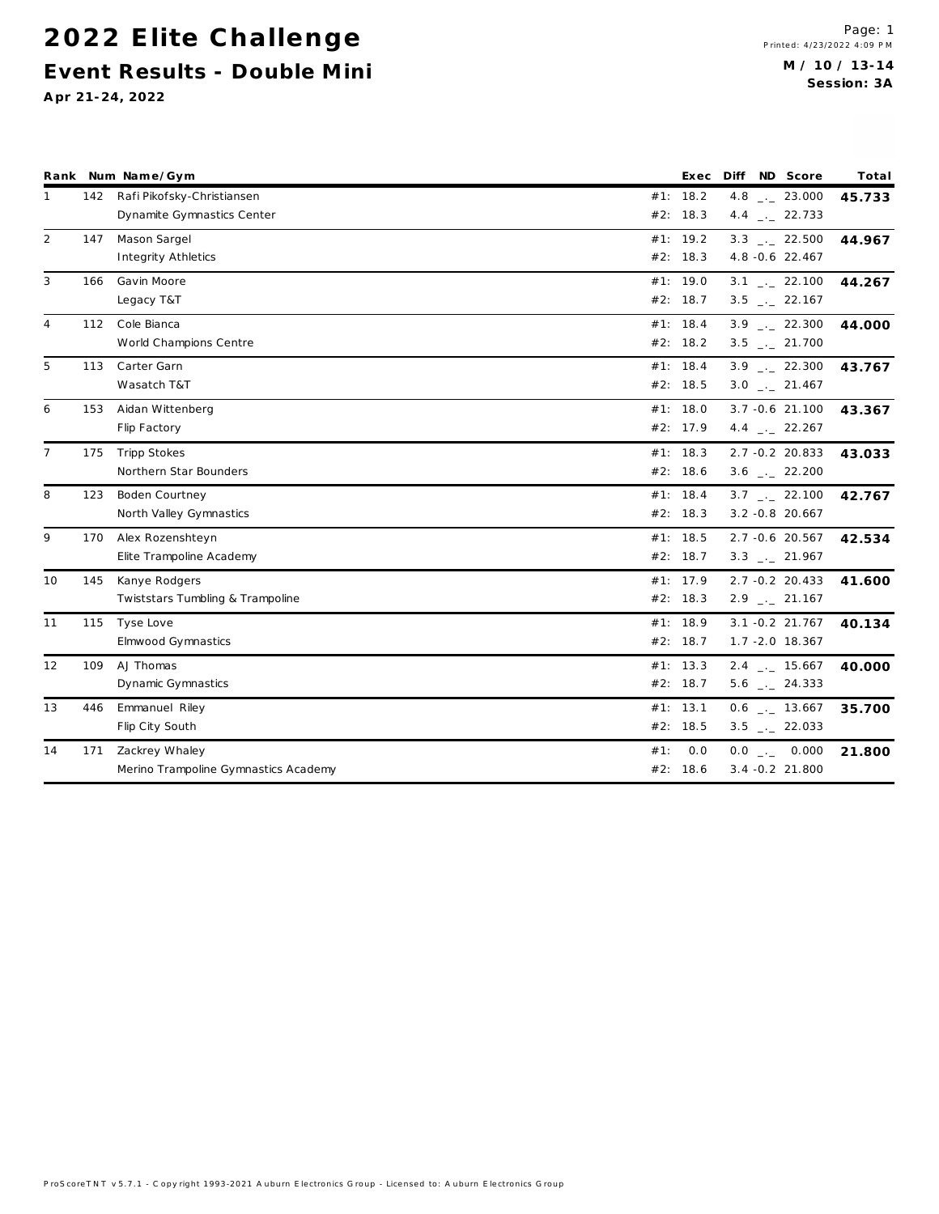|                |     | Rank Num Name/Gym                    |     |          | Exec Diff ND Score           | Total  |
|----------------|-----|--------------------------------------|-----|----------|------------------------------|--------|
| 1              | 142 | Rafi Pikofsky-Christiansen           |     | #1: 18.2 | 4.8 $\qquad$ 23.000          | 45.733 |
|                |     | Dynamite Gymnastics Center           |     | #2: 18.3 | 4.4 $\qquad$ 22.733          |        |
| $\overline{2}$ | 147 | Mason Sargel                         |     | #1: 19.2 | $3.3$ $-.22.500$             | 44.967 |
|                |     | Integrity Athletics                  |     | #2: 18.3 | 4.8 -0.6 22.467              |        |
| 3              | 166 | Gavin Moore                          |     | #1: 19.0 | $3.1$ _._ 22.100             | 44.267 |
|                |     | Legacy T&T                           |     | #2: 18.7 | $3.5$ _._ 22.167             |        |
| 4              | 112 | Cole Bianca                          |     | #1: 18.4 | $3.9$ $_{\leftarrow}$ 22.300 | 44.000 |
|                |     | World Champions Centre               |     | #2: 18.2 | $3.5$ _._ 21.700             |        |
| 5              | 113 | Carter Garn                          |     | #1: 18.4 | $3.9$ $-.22.300$             | 43.767 |
|                |     | Wasatch T&T                          |     | #2: 18.5 | $3.0$ _._ 21.467             |        |
| 6              | 153 | Aidan Wittenberg                     |     | #1: 18.0 | $3.7 - 0.6$ 21.100           | 43.367 |
|                |     | Flip Factory                         |     | #2: 17.9 | 4.4 $\frac{1}{2}$ 22.267     |        |
| $\overline{7}$ | 175 | <b>Tripp Stokes</b>                  |     | #1: 18.3 | $2.7 - 0.2$ 20.833           | 43.033 |
|                |     | Northern Star Bounders               |     | #2: 18.6 | $3.6$ $-.22.200$             |        |
| 8              | 123 | <b>Boden Courtney</b>                |     | #1: 18.4 | $3.7$ $-.22.100$             | 42.767 |
|                |     | North Valley Gymnastics              |     | #2: 18.3 | $3.2 - 0.8$ 20.667           |        |
| 9              | 170 | Alex Rozenshteyn                     |     | #1: 18.5 | 2.7 -0.6 20.567              | 42.534 |
|                |     | Elite Trampoline Academy             |     | #2: 18.7 | $3.3$ $_{-1}$ 21.967         |        |
| 10             | 145 | Kanye Rodgers                        |     | #1: 17.9 | $2.7 - 0.2$ 20.433           | 41.600 |
|                |     | Twiststars Tumbling & Trampoline     |     | #2: 18.3 | $2.9$ $_{-}$ 21.167          |        |
| 11             | 115 | Tyse Love                            |     | #1: 18.9 | $3.1 - 0.2$ 21.767           | 40.134 |
|                |     | <b>Elmwood Gymnastics</b>            |     | #2: 18.7 | $1.7 - 2.0$ 18.367           |        |
| 12             | 109 | AJ Thomas                            |     | #1: 13.3 | 2.4 . 15.667                 | 40.000 |
|                |     | Dynamic Gymnastics                   |     | #2: 18.7 | $5.6$ $-24.333$              |        |
| 13             | 446 | Emmanuel Riley                       |     | #1: 13.1 | $0.6$ _ $-13.667$            | 35.700 |
|                |     | Flip City South                      |     | #2: 18.5 | $3.5$ $-22.033$              |        |
| 14             | 171 | Zackrey Whaley                       | #1: | 0.0      | $0.0$ _._ 0.000              | 21.800 |
|                |     | Merino Trampoline Gymnastics Academy |     | #2: 18.6 | $3.4 - 0.2$ 21.800           |        |